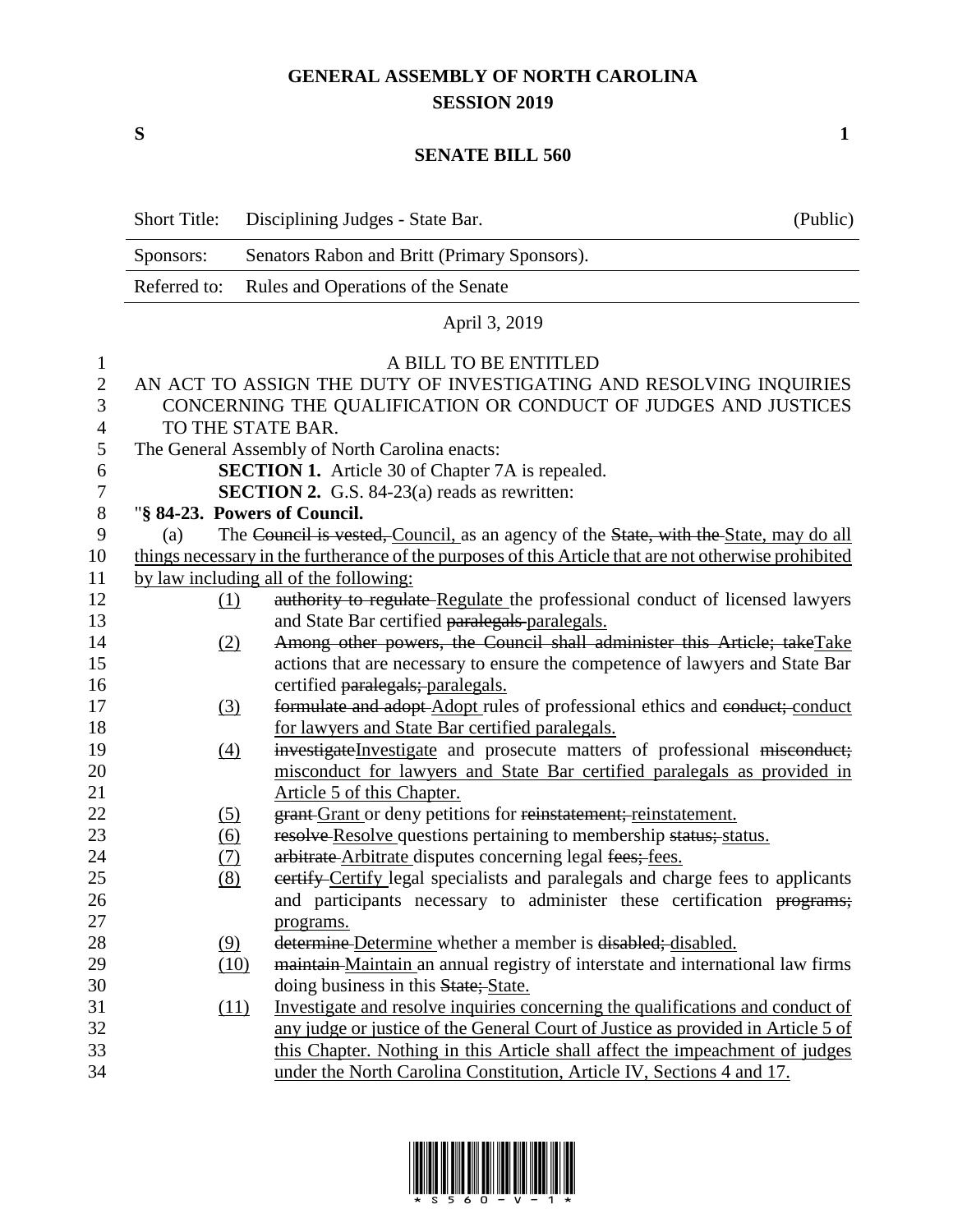## **GENERAL ASSEMBLY OF NORTH CAROLINA SESSION 2019**

**S 1**

## **SENATE BILL 560**

|                | <b>Short Title:</b>                                                                                            | Disciplining Judges - State Bar.                                                      | (Public) |  |
|----------------|----------------------------------------------------------------------------------------------------------------|---------------------------------------------------------------------------------------|----------|--|
|                | Sponsors:                                                                                                      | Senators Rabon and Britt (Primary Sponsors).                                          |          |  |
|                | Referred to:                                                                                                   | Rules and Operations of the Senate                                                    |          |  |
|                |                                                                                                                | April 3, 2019                                                                         |          |  |
| 1              |                                                                                                                | A BILL TO BE ENTITLED                                                                 |          |  |
| $\mathfrak{2}$ |                                                                                                                | AN ACT TO ASSIGN THE DUTY OF INVESTIGATING AND RESOLVING INQUIRIES                    |          |  |
| 3<br>4         | CONCERNING THE QUALIFICATION OR CONDUCT OF JUDGES AND JUSTICES<br>TO THE STATE BAR.                            |                                                                                       |          |  |
| 5              |                                                                                                                |                                                                                       |          |  |
| 6              | The General Assembly of North Carolina enacts:                                                                 |                                                                                       |          |  |
| 7              | <b>SECTION 1.</b> Article 30 of Chapter 7A is repealed.<br><b>SECTION 2.</b> G.S. 84-23(a) reads as rewritten: |                                                                                       |          |  |
| $8\phantom{1}$ |                                                                                                                | "§ 84-23. Powers of Council.                                                          |          |  |
| 9              | (a)                                                                                                            | The Council is vested, Council, as an agency of the State, with the State, may do all |          |  |
| 10             | things necessary in the furtherance of the purposes of this Article that are not otherwise prohibited          |                                                                                       |          |  |
| 11             |                                                                                                                | by law including all of the following:                                                |          |  |
| 12             | (1)                                                                                                            | authority to regulate Regulate the professional conduct of licensed lawyers           |          |  |
| 13             |                                                                                                                | and State Bar certified paralegals-paralegals.                                        |          |  |
| 14             | (2)                                                                                                            | Among other powers, the Council shall administer this Article; takeTake               |          |  |
| 15             |                                                                                                                | actions that are necessary to ensure the competence of lawyers and State Bar          |          |  |
| 16             |                                                                                                                | certified paralegals; paralegals.                                                     |          |  |
| 17             | $\left(3\right)$                                                                                               | formulate and adopt-Adopt rules of professional ethics and conduct; conduct           |          |  |
| 18             |                                                                                                                | for lawyers and State Bar certified paralegals.                                       |          |  |
| 19             | $\left(4\right)$                                                                                               | investigate Investigate and prosecute matters of professional misconduct;             |          |  |
| 20             |                                                                                                                | misconduct for lawyers and State Bar certified paralegals as provided in              |          |  |
| 21             |                                                                                                                | Article 5 of this Chapter.                                                            |          |  |
| 22             | (5)                                                                                                            | grant Grant or deny petitions for reinstatement; reinstatement.                       |          |  |
| 23             | <u>(6)</u>                                                                                                     | resolve Resolve questions pertaining to membership status; status.                    |          |  |
| 24             | <u>(7)</u>                                                                                                     | arbitrate-Arbitrate disputes concerning legal fees; fees.                             |          |  |
| 25             | (8)                                                                                                            | eertify Certify legal specialists and paralegals and charge fees to applicants        |          |  |
| 26             |                                                                                                                | and participants necessary to administer these certification programs;                |          |  |
| 27             |                                                                                                                | programs.                                                                             |          |  |
| 28             | (9)                                                                                                            | determine Determine whether a member is disabled; disabled.                           |          |  |
| 29             | (10)                                                                                                           | maintain-Maintain an annual registry of interstate and international law firms        |          |  |
| 30             |                                                                                                                | doing business in this State; State.                                                  |          |  |
| 31             | (11)                                                                                                           | Investigate and resolve inquiries concerning the qualifications and conduct of        |          |  |
| 32             |                                                                                                                | any judge or justice of the General Court of Justice as provided in Article 5 of      |          |  |
| 33             |                                                                                                                | this Chapter. Nothing in this Article shall affect the impeachment of judges          |          |  |
| 34             |                                                                                                                | under the North Carolina Constitution, Article IV, Sections 4 and 17.                 |          |  |

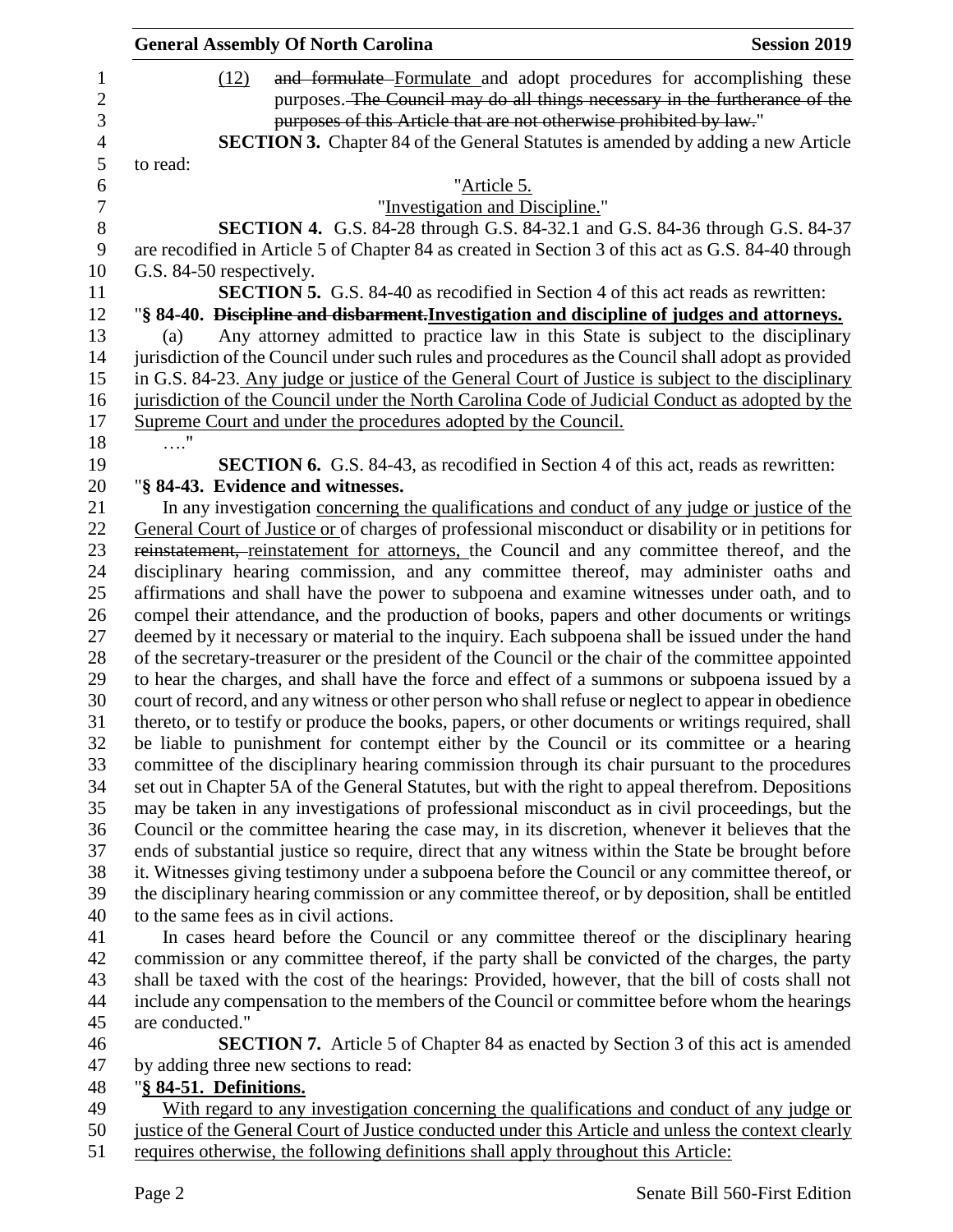|                  | <b>General Assembly Of North Carolina</b><br><b>Session 2019</b>                                    |  |  |
|------------------|-----------------------------------------------------------------------------------------------------|--|--|
| 1                | and formulate Formulate and adopt procedures for accomplishing these<br>(12)                        |  |  |
| $\overline{c}$   | purposes. The Council may do all things necessary in the furtherance of the                         |  |  |
| 3                | purposes of this Article that are not otherwise prohibited by law."                                 |  |  |
| $\overline{4}$   | SECTION 3. Chapter 84 of the General Statutes is amended by adding a new Article                    |  |  |
| 5                | to read:                                                                                            |  |  |
| 6                | "Article 5.                                                                                         |  |  |
| $\boldsymbol{7}$ | "Investigation and Discipline."                                                                     |  |  |
| 8                | <b>SECTION 4.</b> G.S. 84-28 through G.S. 84-32.1 and G.S. 84-36 through G.S. 84-37                 |  |  |
| 9                | are recodified in Article 5 of Chapter 84 as created in Section 3 of this act as G.S. 84-40 through |  |  |
| 10               | G.S. 84-50 respectively.                                                                            |  |  |
| 11               | <b>SECTION 5.</b> G.S. 84-40 as recodified in Section 4 of this act reads as rewritten:             |  |  |
| 12               | "§ 84-40. Discipline and disbarment. Investigation and discipline of judges and attorneys.          |  |  |
| 13               | Any attorney admitted to practice law in this State is subject to the disciplinary<br>(a)           |  |  |
| 14               | jurisdiction of the Council under such rules and procedures as the Council shall adopt as provided  |  |  |
| 15               | in G.S. 84-23. Any judge or justice of the General Court of Justice is subject to the disciplinary  |  |  |
| 16               | jurisdiction of the Council under the North Carolina Code of Judicial Conduct as adopted by the     |  |  |
| 17               | Supreme Court and under the procedures adopted by the Council.                                      |  |  |
| 18               | $\ldots$ "                                                                                          |  |  |
| 19               | <b>SECTION 6.</b> G.S. 84-43, as recodified in Section 4 of this act, reads as rewritten:           |  |  |
| 20               | "§ 84-43. Evidence and witnesses.                                                                   |  |  |
| 21               | In any investigation concerning the qualifications and conduct of any judge or justice of the       |  |  |
| 22               | General Court of Justice or of charges of professional misconduct or disability or in petitions for |  |  |
| 23               | reinstatement, reinstatement for attorneys, the Council and any committee thereof, and the          |  |  |
| 24               | disciplinary hearing commission, and any committee thereof, may administer oaths and                |  |  |
| 25               | affirmations and shall have the power to subpoena and examine witnesses under oath, and to          |  |  |
| 26               | compel their attendance, and the production of books, papers and other documents or writings        |  |  |
| 27               | deemed by it necessary or material to the inquiry. Each subpoena shall be issued under the hand     |  |  |
| 28               | of the secretary-treasurer or the president of the Council or the chair of the committee appointed  |  |  |
| 29               | to hear the charges, and shall have the force and effect of a summons or subpoena issued by a       |  |  |
| 30               | court of record, and any witness or other person who shall refuse or neglect to appear in obedience |  |  |
| 31               | thereto, or to testify or produce the books, papers, or other documents or writings required, shall |  |  |
| 32               | be liable to punishment for contempt either by the Council or its committee or a hearing            |  |  |
| 33               | committee of the disciplinary hearing commission through its chair pursuant to the procedures       |  |  |
| 34               | set out in Chapter 5A of the General Statutes, but with the right to appeal therefrom. Depositions  |  |  |
| 35               | may be taken in any investigations of professional misconduct as in civil proceedings, but the      |  |  |
| 36               | Council or the committee hearing the case may, in its discretion, whenever it believes that the     |  |  |
| 37               | ends of substantial justice so require, direct that any witness within the State be brought before  |  |  |
| 38               | it. Witnesses giving testimony under a subpoena before the Council or any committee thereof, or     |  |  |
| 39               | the disciplinary hearing commission or any committee thereof, or by deposition, shall be entitled   |  |  |
| 40               | to the same fees as in civil actions.                                                               |  |  |
| 41               | In cases heard before the Council or any committee thereof or the disciplinary hearing              |  |  |
| 42               | commission or any committee thereof, if the party shall be convicted of the charges, the party      |  |  |
| 43               | shall be taxed with the cost of the hearings: Provided, however, that the bill of costs shall not   |  |  |
| 44               | include any compensation to the members of the Council or committee before whom the hearings        |  |  |
| 45               | are conducted."                                                                                     |  |  |
| 46               | <b>SECTION 7.</b> Article 5 of Chapter 84 as enacted by Section 3 of this act is amended            |  |  |
| 47               | by adding three new sections to read:                                                               |  |  |
| 48               | "§ 84-51. Definitions.                                                                              |  |  |
| 49               | With regard to any investigation concerning the qualifications and conduct of any judge or          |  |  |
| 50               | justice of the General Court of Justice conducted under this Article and unless the context clearly |  |  |
| 51               | requires otherwise, the following definitions shall apply throughout this Article:                  |  |  |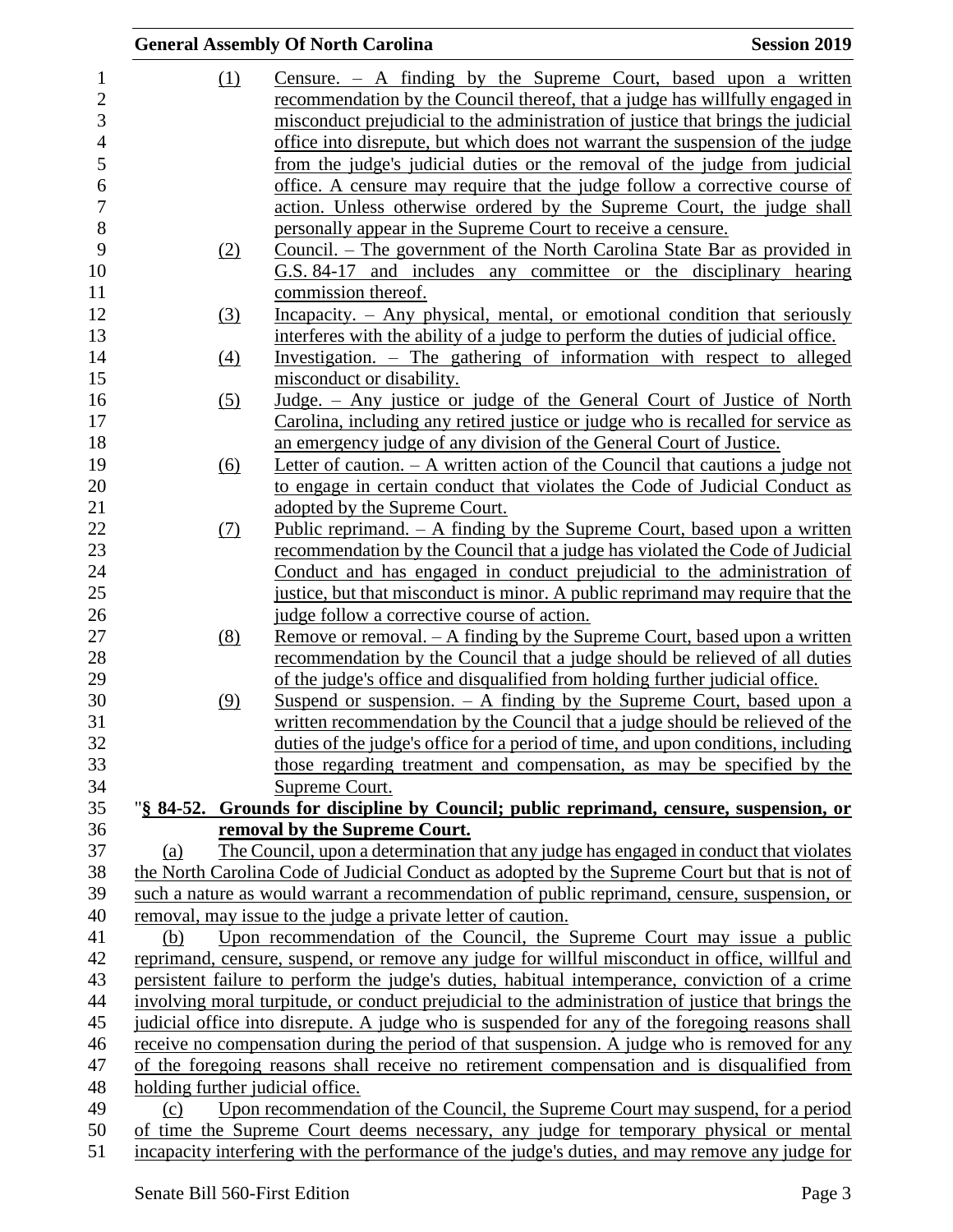|                                  | <b>General Assembly Of North Carolina</b>                                                                                                                         | <b>Session 2019</b> |
|----------------------------------|-------------------------------------------------------------------------------------------------------------------------------------------------------------------|---------------------|
| (1)                              | Censure. $-$ A finding by the Supreme Court, based upon a written                                                                                                 |                     |
|                                  | recommendation by the Council thereof, that a judge has willfully engaged in                                                                                      |                     |
|                                  | misconduct prejudicial to the administration of justice that brings the judicial                                                                                  |                     |
|                                  | office into disrepute, but which does not warrant the suspension of the judge                                                                                     |                     |
|                                  | from the judge's judicial duties or the removal of the judge from judicial                                                                                        |                     |
|                                  | office. A censure may require that the judge follow a corrective course of                                                                                        |                     |
|                                  | action. Unless otherwise ordered by the Supreme Court, the judge shall                                                                                            |                     |
|                                  | personally appear in the Supreme Court to receive a censure.                                                                                                      |                     |
| (2)                              | <u>Council. – The government of the North Carolina State Bar as provided in</u>                                                                                   |                     |
|                                  | G.S. 84-17 and includes any committee or the disciplinary hearing                                                                                                 |                     |
|                                  | commission thereof.                                                                                                                                               |                     |
| (3)                              | <u>Incapacity. – Any physical, mental, or emotional condition that seriously</u>                                                                                  |                     |
|                                  | interferes with the ability of a judge to perform the duties of judicial office.                                                                                  |                     |
| (4)                              | Investigation. – The gathering of information with respect to alleged                                                                                             |                     |
|                                  | misconduct or disability.                                                                                                                                         |                     |
| (5)                              | Judge. - Any justice or judge of the General Court of Justice of North                                                                                            |                     |
|                                  | Carolina, including any retired justice or judge who is recalled for service as                                                                                   |                     |
|                                  | an emergency judge of any division of the General Court of Justice.                                                                                               |                     |
| (6)                              | Letter of caution. $- A$ written action of the Council that cautions a judge not                                                                                  |                     |
|                                  | to engage in certain conduct that violates the Code of Judicial Conduct as                                                                                        |                     |
|                                  | adopted by the Supreme Court.                                                                                                                                     |                     |
| <u>(7)</u>                       | Public reprimand. $-$ A finding by the Supreme Court, based upon a written                                                                                        |                     |
|                                  | recommendation by the Council that a judge has violated the Code of Judicial                                                                                      |                     |
|                                  | Conduct and has engaged in conduct prejudicial to the administration of                                                                                           |                     |
|                                  | justice, but that misconduct is minor. A public reprimand may require that the                                                                                    |                     |
|                                  | judge follow a corrective course of action.                                                                                                                       |                     |
| (8)                              | Remove or removal. $-$ A finding by the Supreme Court, based upon a written                                                                                       |                     |
|                                  | recommendation by the Council that a judge should be relieved of all duties                                                                                       |                     |
|                                  | of the judge's office and disqualified from holding further judicial office.                                                                                      |                     |
| (9)                              | <u>Suspend or suspension. <math>-</math> A finding by the Supreme Court, based upon a</u>                                                                         |                     |
|                                  | written recommendation by the Council that a judge should be relieved of the<br>duties of the judge's office for a period of time, and upon conditions, including |                     |
|                                  | those regarding treatment and compensation, as may be specified by the                                                                                            |                     |
|                                  | Supreme Court.                                                                                                                                                    |                     |
|                                  | "§ 84-52. Grounds for discipline by Council; public reprimand, censure, suspension, or                                                                            |                     |
|                                  | removal by the Supreme Court.                                                                                                                                     |                     |
| (a)                              | The Council, upon a determination that any judge has engaged in conduct that violates                                                                             |                     |
|                                  | the North Carolina Code of Judicial Conduct as adopted by the Supreme Court but that is not of                                                                    |                     |
|                                  | such a nature as would warrant a recommendation of public reprimand, censure, suspension, or                                                                      |                     |
|                                  | removal, may issue to the judge a private letter of caution.                                                                                                      |                     |
| (b)                              | Upon recommendation of the Council, the Supreme Court may issue a public                                                                                          |                     |
|                                  | reprimand, censure, suspend, or remove any judge for willful misconduct in office, willful and                                                                    |                     |
|                                  | persistent failure to perform the judge's duties, habitual intemperance, conviction of a crime                                                                    |                     |
|                                  | involving moral turpitude, or conduct prejudicial to the administration of justice that brings the                                                                |                     |
|                                  | judicial office into disrepute. A judge who is suspended for any of the foregoing reasons shall                                                                   |                     |
|                                  | receive no compensation during the period of that suspension. A judge who is removed for any                                                                      |                     |
|                                  | of the foregoing reasons shall receive no retirement compensation and is disqualified from                                                                        |                     |
| holding further judicial office. |                                                                                                                                                                   |                     |
| (c)                              | Upon recommendation of the Council, the Supreme Court may suspend, for a period                                                                                   |                     |
|                                  | of time the Supreme Court deems necessary, any judge for temporary physical or mental                                                                             |                     |
|                                  | incapacity interfering with the performance of the judge's duties, and may remove any judge for                                                                   |                     |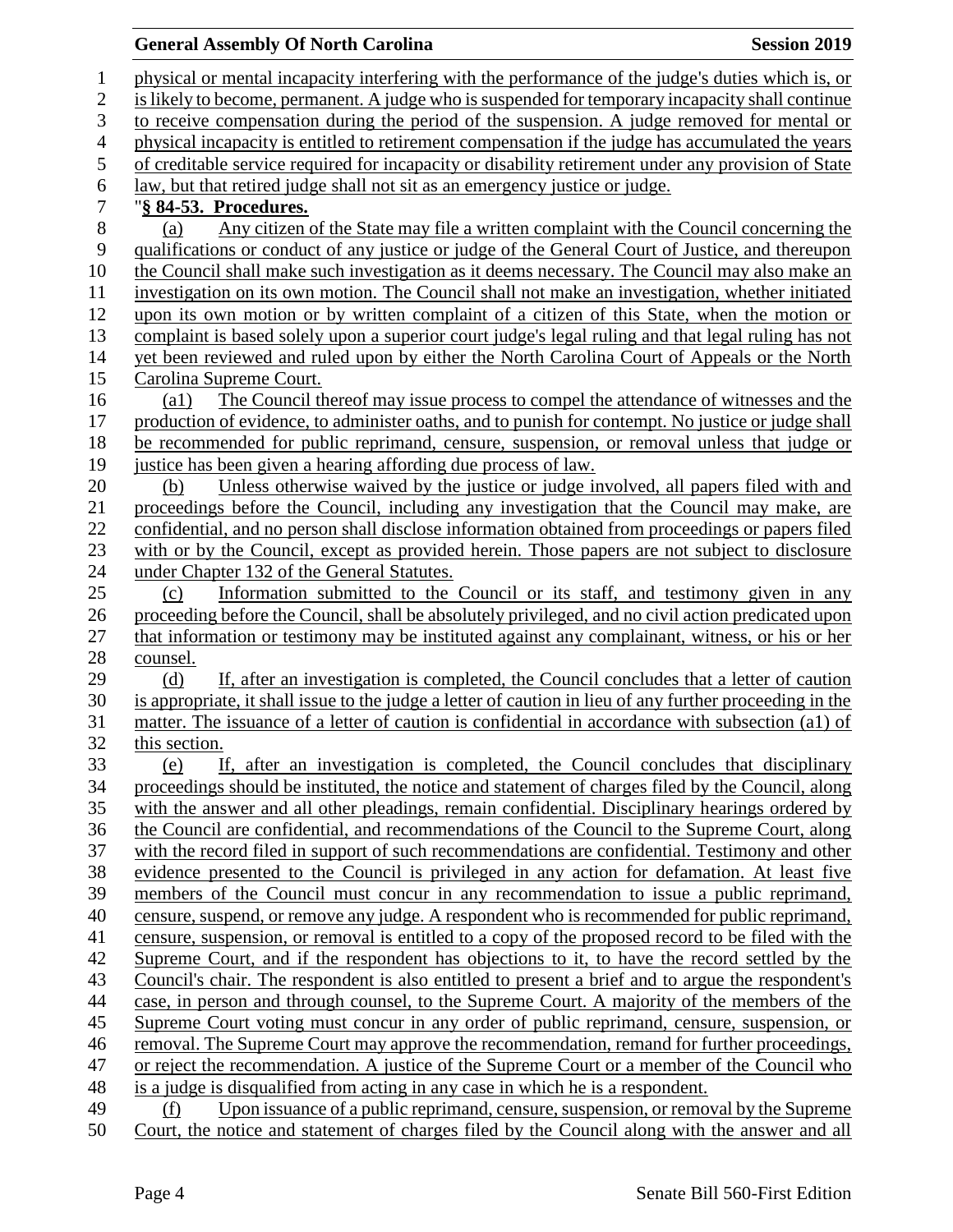## **General Assembly Of North Carolina Session 2019 Session 2019**

 physical or mental incapacity interfering with the performance of the judge's duties which is, or is likely to become, permanent. A judge who is suspended for temporary incapacity shall continue to receive compensation during the period of the suspension. A judge removed for mental or physical incapacity is entitled to retirement compensation if the judge has accumulated the years of creditable service required for incapacity or disability retirement under any provision of State law, but that retired judge shall not sit as an emergency justice or judge. "**§ 84-53. Procedures.** (a) Any citizen of the State may file a written complaint with the Council concerning the qualifications or conduct of any justice or judge of the General Court of Justice, and thereupon 10 the Council shall make such investigation as it deems necessary. The Council may also make an investigation on its own motion. The Council shall not make an investigation, whether initiated upon its own motion or by written complaint of a citizen of this State, when the motion or complaint is based solely upon a superior court judge's legal ruling and that legal ruling has not yet been reviewed and ruled upon by either the North Carolina Court of Appeals or the North Carolina Supreme Court. (a1) The Council thereof may issue process to compel the attendance of witnesses and the production of evidence, to administer oaths, and to punish for contempt. No justice or judge shall be recommended for public reprimand, censure, suspension, or removal unless that judge or justice has been given a hearing affording due process of law. (b) Unless otherwise waived by the justice or judge involved, all papers filed with and proceedings before the Council, including any investigation that the Council may make, are confidential, and no person shall disclose information obtained from proceedings or papers filed with or by the Council, except as provided herein. Those papers are not subject to disclosure under Chapter 132 of the General Statutes. (c) Information submitted to the Council or its staff, and testimony given in any proceeding before the Council, shall be absolutely privileged, and no civil action predicated upon that information or testimony may be instituted against any complainant, witness, or his or her counsel. (d) If, after an investigation is completed, the Council concludes that a letter of caution is appropriate, it shall issue to the judge a letter of caution in lieu of any further proceeding in the matter. The issuance of a letter of caution is confidential in accordance with subsection (a1) of this section. (e) If, after an investigation is completed, the Council concludes that disciplinary proceedings should be instituted, the notice and statement of charges filed by the Council, along with the answer and all other pleadings, remain confidential. Disciplinary hearings ordered by the Council are confidential, and recommendations of the Council to the Supreme Court, along with the record filed in support of such recommendations are confidential. Testimony and other evidence presented to the Council is privileged in any action for defamation. At least five members of the Council must concur in any recommendation to issue a public reprimand, censure, suspend, or remove any judge. A respondent who is recommended for public reprimand, censure, suspension, or removal is entitled to a copy of the proposed record to be filed with the Supreme Court, and if the respondent has objections to it, to have the record settled by the Council's chair. The respondent is also entitled to present a brief and to argue the respondent's case, in person and through counsel, to the Supreme Court. A majority of the members of the Supreme Court voting must concur in any order of public reprimand, censure, suspension, or removal. The Supreme Court may approve the recommendation, remand for further proceedings, or reject the recommendation. A justice of the Supreme Court or a member of the Council who is a judge is disqualified from acting in any case in which he is a respondent. (f) Upon issuance of a public reprimand, censure, suspension, or removal by the Supreme Court, the notice and statement of charges filed by the Council along with the answer and all